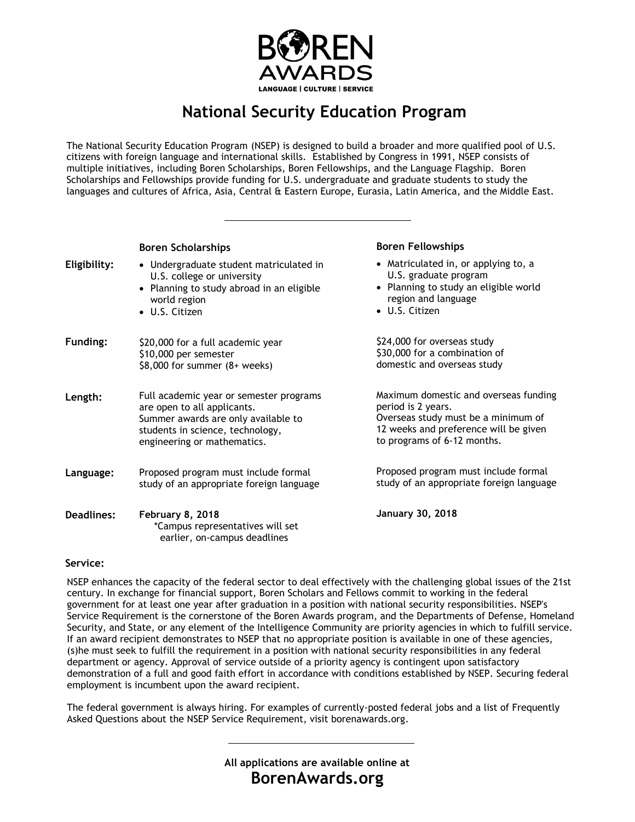

## **National Security Education Program**

The National Security Education Program (NSEP) is designed to build a broader and more qualified pool of U.S. citizens with foreign language and international skills. Established by Congress in 1991, NSEP consists of multiple initiatives, including Boren Scholarships, Boren Fellowships, and the Language Flagship. Boren Scholarships and Fellowships provide funding for U.S. undergraduate and graduate students to study the languages and cultures of Africa, Asia, Central & Eastern Europe, Eurasia, Latin America, and the Middle East.

|              | <b>Boren Scholarships</b>                                                                                                                                                        | <b>Boren Fellowships</b>                                                                                                                                                   |
|--------------|----------------------------------------------------------------------------------------------------------------------------------------------------------------------------------|----------------------------------------------------------------------------------------------------------------------------------------------------------------------------|
| Eligibility: | • Undergraduate student matriculated in<br>U.S. college or university<br>• Planning to study abroad in an eligible<br>world region<br>• U.S. Citizen                             | • Matriculated in, or applying to, a<br>U.S. graduate program<br>• Planning to study an eligible world<br>region and language<br>• U.S. Citizen                            |
| Funding:     | \$20,000 for a full academic year<br>\$10,000 per semester<br>$$8,000$ for summer $(8+$ weeks)                                                                                   | \$24,000 for overseas study<br>\$30,000 for a combination of<br>domestic and overseas study                                                                                |
| Length:      | Full academic year or semester programs<br>are open to all applicants.<br>Summer awards are only available to<br>students in science, technology,<br>engineering or mathematics. | Maximum domestic and overseas funding<br>period is 2 years.<br>Overseas study must be a minimum of<br>12 weeks and preference will be given<br>to programs of 6-12 months. |
| Language:    | Proposed program must include formal<br>study of an appropriate foreign language                                                                                                 | Proposed program must include formal<br>study of an appropriate foreign language                                                                                           |
| Deadlines:   | February 8, 2018<br>*Campus representatives will set<br>earlier, on-campus deadlines                                                                                             | January 30, 2018                                                                                                                                                           |

## **Service:**

NSEP enhances the capacity of the federal sector to deal effectively with the challenging global issues of the 21st century. In exchange for financial support, Boren Scholars and Fellows commit to working in the federal government for at least one year after graduation in a position with national security responsibilities. NSEP's Service Requirement is the cornerstone of the Boren Awards program, and the Departments of Defense, Homeland Security, and State, or any element of the Intelligence Community are priority agencies in which to fulfill service. If an award recipient demonstrates to NSEP that no appropriate position is available in one of these agencies, (s)he must seek to fulfill the requirement in a position with national security responsibilities in any federal department or agency. Approval of service outside of a priority agency is contingent upon satisfactory demonstration of a full and good faith effort in accordance with conditions established by NSEP. Securing federal employment is incumbent upon the award recipient.

The federal government is always hiring. For examples of currently-posted federal jobs and a list of Frequently Asked Questions about the NSEP Service Requirement, visit borenawards.org.

> **All applications are available online at BorenAwards.org**